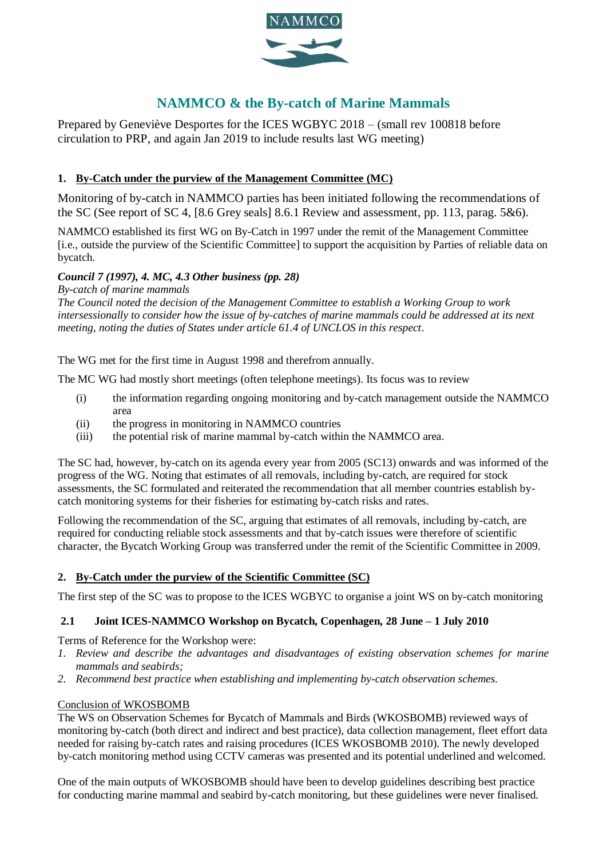

# **NAMMCO & the By-catch of Marine Mammals**

Prepared by Geneviève Desportes for the ICES WGBYC 2018 – (small rev 100818 before circulation to PRP, and again Jan 2019 to include results last WG meeting)

# **1. By-Catch under the purview of the Management Committee (MC)**

Monitoring of by-catch in NAMMCO parties has been initiated following the recommendations of the SC (See report of SC 4, [8.6 Grey seals] 8.6.1 Review and assessment, pp. 113, parag. 5&6).

NAMMCO established its first WG on By-Catch in 1997 under the remit of the Management Committee [i.e., outside the purview of the Scientific Committee] to support the acquisition by Parties of reliable data on bycatch.

# *Council 7 (1997), 4. MC, 4.3 Other business (pp. 28)*

*By-catch of marine mammals* 

*The Council noted the decision of the Management Committee to establish a Working Group to work intersessionally to consider how the issue of by-catches of marine mammals could be addressed at its next meeting, noting the duties of States under article 61.4 of UNCLOS in this respect*.

The WG met for the first time in August 1998 and therefrom annually.

The MC WG had mostly short meetings (often telephone meetings). Its focus was to review

- (i) the information regarding ongoing monitoring and by-catch management outside the NAMMCO area
- (ii) the progress in monitoring in NAMMCO countries
- (iii) the potential risk of marine mammal by-catch within the NAMMCO area.

The SC had, however, by-catch on its agenda every year from 2005 (SC13) onwards and was informed of the progress of the WG. Noting that estimates of all removals, including by-catch, are required for stock assessments, the SC formulated and reiterated the recommendation that all member countries establish bycatch monitoring systems for their fisheries for estimating by-catch risks and rates.

Following the recommendation of the SC, arguing that estimates of all removals, including by-catch, are required for conducting reliable stock assessments and that by-catch issues were therefore of scientific character, the Bycatch Working Group was transferred under the remit of the Scientific Committee in 2009.

#### **2. By-Catch under the purview of the Scientific Committee (SC)**

The first step of the SC was to propose to the ICES WGBYC to organise a joint WS on by-catch monitoring

#### **2.1 Joint ICES-NAMMCO Workshop on Bycatch, Copenhagen, 28 June – 1 July 2010**

Terms of Reference for the Workshop were:

- *1. Review and describe the advantages and disadvantages of existing observation schemes for marine mammals and seabirds;*
- *2. Recommend best practice when establishing and implementing by-catch observation schemes.*

#### Conclusion of WKOSBOMB

The WS on Observation Schemes for Bycatch of Mammals and Birds (WKOSBOMB) reviewed ways of monitoring by-catch (both direct and indirect and best practice), data collection management, fleet effort data needed for raising by-catch rates and raising procedures (ICES WKOSBOMB 2010). The newly developed by-catch monitoring method using CCTV cameras was presented and its potential underlined and welcomed.

One of the main outputs of WKOSBOMB should have been to develop guidelines describing best practice for conducting marine mammal and seabird by-catch monitoring, but these guidelines were never finalised.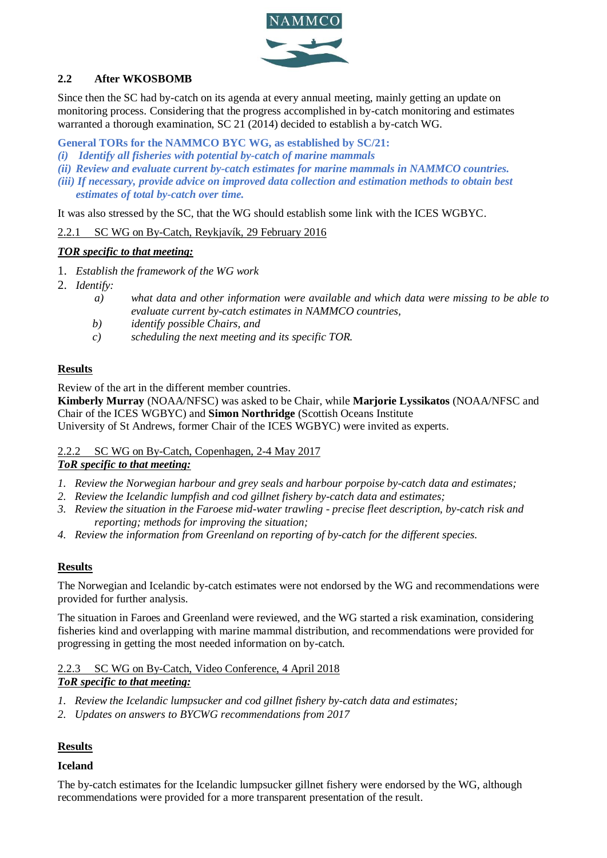

### **2.2 After WKOSBOMB**

Since then the SC had by-catch on its agenda at every annual meeting, mainly getting an update on monitoring process. Considering that the progress accomplished in by-catch monitoring and estimates warranted a thorough examination, SC 21 (2014) decided to establish a by-catch WG.

**General TORs for the NAMMCO BYC WG, as established by SC/21:** 

- *(i) Identify all fisheries with potential by-catch of marine mammals*
- *(ii) Review and evaluate current by-catch estimates for marine mammals in NAMMCO countries.*
- *(iii) If necessary, provide advice on improved data collection and estimation methods to obtain best estimates of total by-catch over time.*

It was also stressed by the SC, that the WG should establish some link with the ICES WGBYC.

2.2.1 SC WG on By-Catch, Reykjavík, 29 February 2016

#### *TOR specific to that meeting:*

- 1. *Establish the framework of the WG work*
- 2. *Identify:*
	- *a) what data and other information were available and which data were missing to be able to evaluate current by-catch estimates in NAMMCO countries,*
	- *b) identify possible Chairs, and*
	- *c) scheduling the next meeting and its specific TOR.*

#### **Results**

Review of the art in the different member countries.

**Kimberly Murray** (NOAA/NFSC) was asked to be Chair, while **Marjorie Lyssikatos** (NOAA/NFSC and Chair of the ICES WGBYC) and **Simon Northridge** (Scottish Oceans Institute University of St Andrews, former Chair of the ICES WGBYC) were invited as experts.

# 2.2.2 SC WG on By-Catch, Copenhagen, 2-4 May 2017

#### *ToR specific to that meeting:*

- *1. Review the Norwegian harbour and grey seals and harbour porpoise by-catch data and estimates;*
- *2. Review the Icelandic lumpfish and cod gillnet fishery by-catch data and estimates;*
- *3. Review the situation in the Faroese mid-water trawling - precise fleet description, by-catch risk and reporting; methods for improving the situation;*
- *4. Review the information from Greenland on reporting of by-catch for the different species.*

#### **Results**

The Norwegian and Icelandic by-catch estimates were not endorsed by the WG and recommendations were provided for further analysis.

The situation in Faroes and Greenland were reviewed, and the WG started a risk examination, considering fisheries kind and overlapping with marine mammal distribution, and recommendations were provided for progressing in getting the most needed information on by-catch.

#### 2.2.3 SC WG on By-Catch, Video Conference, 4 April 2018 *ToR specific to that meeting:*

- *1. Review the Icelandic lumpsucker and cod gillnet fishery by-catch data and estimates;*
- *2. Updates on answers to BYCWG recommendations from 2017*

#### **Results**

#### **Iceland**

The by-catch estimates for the Icelandic lumpsucker gillnet fishery were endorsed by the WG, although recommendations were provided for a more transparent presentation of the result.